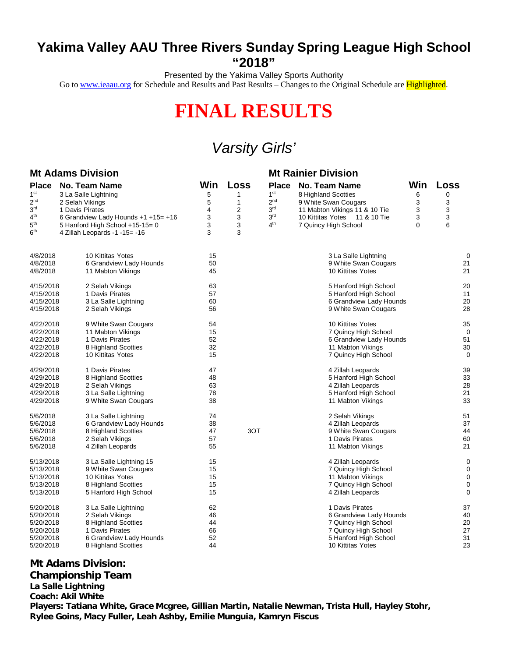## **Yakima Valley AAU Three Rivers Sunday Spring League High School "2018"**

Presented by the Yakima Valley Sports Authority

Go to [www.ieaau.org](http://www.ieaau.org) for Schedule and Results and Past Results – Changes to the Original Schedule are **Highlighted**.

# **FINAL RESULTS**

# *Varsity Girls'*

### **Mt Adams Division Mt Rainier Division**

|                 | <b>IVIL AUGILIS DIVISIUI</b>        | <b>IVIL NAIHIGI DIVISIUII</b> |              |                 |                               |     |      |
|-----------------|-------------------------------------|-------------------------------|--------------|-----------------|-------------------------------|-----|------|
| <b>Place</b>    | No. Team Name                       | Win                           | Loss         | <b>Place</b>    | No. Team Name                 | Win | Loss |
| 1 <sup>st</sup> | 3 La Salle Lightning                | 5                             | 1            | 1 <sup>st</sup> | 8 Highland Scotties           | 6   | 0    |
| 2 <sup>nd</sup> | 2 Selah Vikings                     | 5                             | $\mathbf{1}$ | 2 <sup>nd</sup> | 9 White Swan Cougars          | 3   | 3    |
| 3 <sup>rd</sup> | 1 Davis Pirates                     | 4                             | 2            | 3 <sup>rd</sup> | 11 Mabton Vikings 11 & 10 Tie | 3   | 3    |
| 4 <sup>th</sup> | 6 Grandview Lady Hounds +1 +15= +16 | 3                             | 3            | 3 <sup>rd</sup> | 10 Kittitas Yotes 11 & 10 Tie | 3   | 3    |
| 5 <sup>th</sup> | 5 Hanford High School $+15-15=0$    | 3                             | 3            | 4 <sup>th</sup> | 7 Quincy High School          | 0   | 6    |
| 6 <sup>th</sup> | 4 Zillah Leopards -1 -15= -16       | 3                             | 3            |                 |                               |     |      |
| 4/8/2018        | 10 Kittitas Yotes                   | 15                            |              |                 | 3 La Salle Lightning          |     | 0    |
| 4/8/2018        | 6 Grandview Lady Hounds             | 50                            |              |                 | 9 White Swan Cougars          |     | 21   |
| 4/8/2018        | 11 Mabton Vikings                   | 45                            |              |                 | 10 Kittitas Yotes             |     | 21   |
| 4/15/2018       | 2 Selah Vikings                     | 63                            |              |                 | 5 Hanford High School         |     | 20   |
| 4/15/2018       | 1 Davis Pirates                     | 57                            |              |                 | 5 Hanford High School         |     | 11   |
| 4/15/2018       | 3 La Salle Lightning                | 60                            |              |                 | 6 Grandview Lady Hounds       |     | 20   |
| 4/15/2018       | 2 Selah Vikings                     | 56                            |              |                 | 9 White Swan Cougars          |     | 28   |
| 4/22/2018       | 9 White Swan Cougars                | 54                            |              |                 | 10 Kittitas Yotes             |     | 35   |
| 4/22/2018       | 11 Mabton Vikings                   | 15                            |              |                 | 7 Quincy High School          |     | 0    |
| 4/22/2018       | 1 Davis Pirates                     | 52                            |              |                 | 6 Grandview Lady Hounds       |     | 51   |
| 4/22/2018       | 8 Highland Scotties                 | 32                            |              |                 | 11 Mabton Vikings             |     | 30   |
| 4/22/2018       | 10 Kittitas Yotes                   | 15                            |              |                 | 7 Quincy High School          |     | 0    |
| 4/29/2018       | 1 Davis Pirates                     | 47                            |              |                 | 4 Zillah Leopards             |     | 39   |
| 4/29/2018       | 8 Highland Scotties                 | 48                            |              |                 | 5 Hanford High School         |     | 33   |
| 4/29/2018       | 2 Selah Vikings                     | 63                            |              |                 | 4 Zillah Leopards             |     | 28   |
| 4/29/2018       | 3 La Salle Lightning                | 78                            |              |                 | 5 Hanford High School         |     | 21   |
| 4/29/2018       | 9 White Swan Cougars                | 38                            |              |                 | 11 Mabton Vikings             |     | 33   |
| 5/6/2018        | 3 La Salle Lightning                | 74                            |              |                 | 2 Selah Vikings               |     | 51   |
| 5/6/2018        | 6 Grandview Lady Hounds             | 38                            |              |                 | 4 Zillah Leopards             |     | 37   |
| 5/6/2018        | 8 Highland Scotties                 | 47                            | 3OT          |                 | 9 White Swan Cougars          |     | 44   |
| 5/6/2018        | 2 Selah Vikings                     | 57                            |              |                 | 1 Davis Pirates               |     | 60   |
| 5/6/2018        | 4 Zillah Leopards                   | 55                            |              |                 | 11 Mabton Vikings             |     | 21   |
| 5/13/2018       | 3 La Salle Lightning 15             | 15                            |              |                 | 4 Zillah Leopards             |     | 0    |
| 5/13/2018       | 9 White Swan Cougars                | 15                            |              |                 | 7 Quincy High School          |     | 0    |
| 5/13/2018       | 10 Kittitas Yotes                   | 15                            |              |                 | 11 Mabton Vikings             |     | 0    |
| 5/13/2018       | 8 Highland Scotties                 | 15                            |              |                 | 7 Quincy High School          |     | 0    |
| 5/13/2018       | 5 Hanford High School               | 15                            |              |                 | 4 Zillah Leopards             |     | 0    |
| 5/20/2018       | 3 La Salle Lightning                | 62                            |              |                 | 1 Davis Pirates               |     | 37   |
| 5/20/2018       | 2 Selah Vikings                     | 46                            |              |                 | 6 Grandview Lady Hounds       |     | 40   |
| 5/20/2018       | 8 Highland Scotties                 | 44                            |              |                 | 7 Quincy High School          |     | 20   |
| 5/20/2018       | 1 Davis Pirates                     | 66                            |              |                 | 7 Quincy High School          |     | 27   |
| 5/20/2018       | 6 Grandview Lady Hounds             | 52                            |              |                 | 5 Hanford High School         |     | 31   |
| 5/20/2018       | 8 Highland Scotties                 | 44                            |              |                 | 10 Kittitas Yotes             |     | 23   |

#### **Mt Adams Division:**

**Championship Team**

**La Salle Lightning**

**Coach: Akil White**

**Players: Tatiana White, Grace Mcgree, Gillian Martin, Natalie Newman, Trista Hull, Hayley Stohr, Rylee Goins, Macy Fuller, Leah Ashby, Emilie Munguia, Kamryn Fiscus**